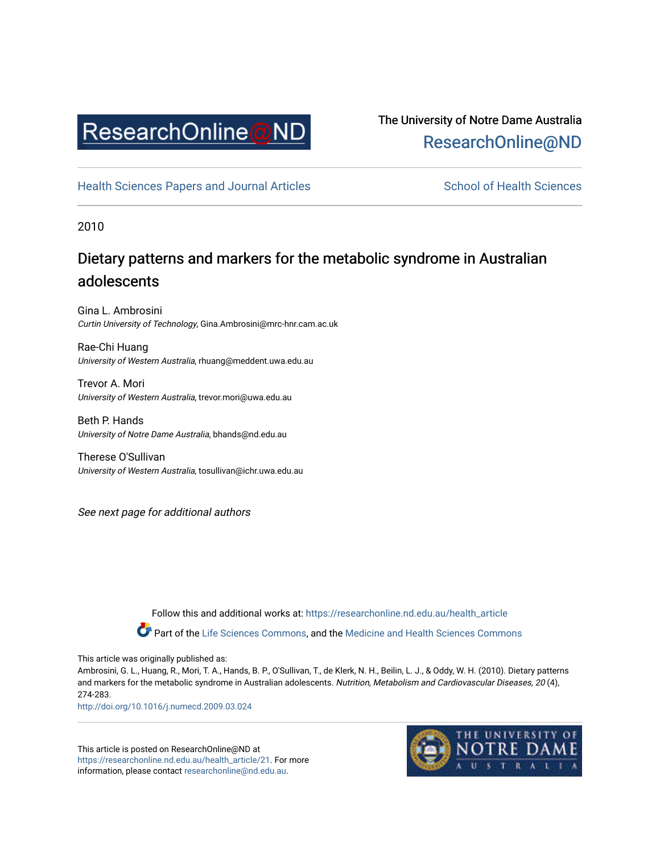

# The University of Notre Dame Australia [ResearchOnline@ND](https://researchonline.nd.edu.au/)

[Health Sciences Papers and Journal Articles](https://researchonline.nd.edu.au/health_article) School of Health Sciences

2010

# Dietary patterns and markers for the metabolic syndrome in Australian adolescents

Gina L. Ambrosini Curtin University of Technology, Gina.Ambrosini@mrc-hnr.cam.ac.uk

Rae-Chi Huang University of Western Australia, rhuang@meddent.uwa.edu.au

Trevor A. Mori University of Western Australia, trevor.mori@uwa.edu.au

Beth P. Hands University of Notre Dame Australia, bhands@nd.edu.au

Therese O'Sullivan University of Western Australia, tosullivan@ichr.uwa.edu.au

See next page for additional authors

Follow this and additional works at: [https://researchonline.nd.edu.au/health\\_article](https://researchonline.nd.edu.au/health_article?utm_source=researchonline.nd.edu.au%2Fhealth_article%2F21&utm_medium=PDF&utm_campaign=PDFCoverPages)

Part of the [Life Sciences Commons](http://network.bepress.com/hgg/discipline/1016?utm_source=researchonline.nd.edu.au%2Fhealth_article%2F21&utm_medium=PDF&utm_campaign=PDFCoverPages), and the Medicine and Health Sciences Commons

This article was originally published as:

Ambrosini, G. L., Huang, R., Mori, T. A., Hands, B. P., O'Sullivan, T., de Klerk, N. H., Beilin, L. J., & Oddy, W. H. (2010). Dietary patterns and markers for the metabolic syndrome in Australian adolescents. Nutrition, Metabolism and Cardiovascular Diseases, 20 (4), 274-283.

<http://doi.org/10.1016/j.numecd.2009.03.024>

This article is posted on ResearchOnline@ND at [https://researchonline.nd.edu.au/health\\_article/21.](https://researchonline.nd.edu.au/health_article/21) For more information, please contact [researchonline@nd.edu.au.](mailto:researchonline@nd.edu.au)

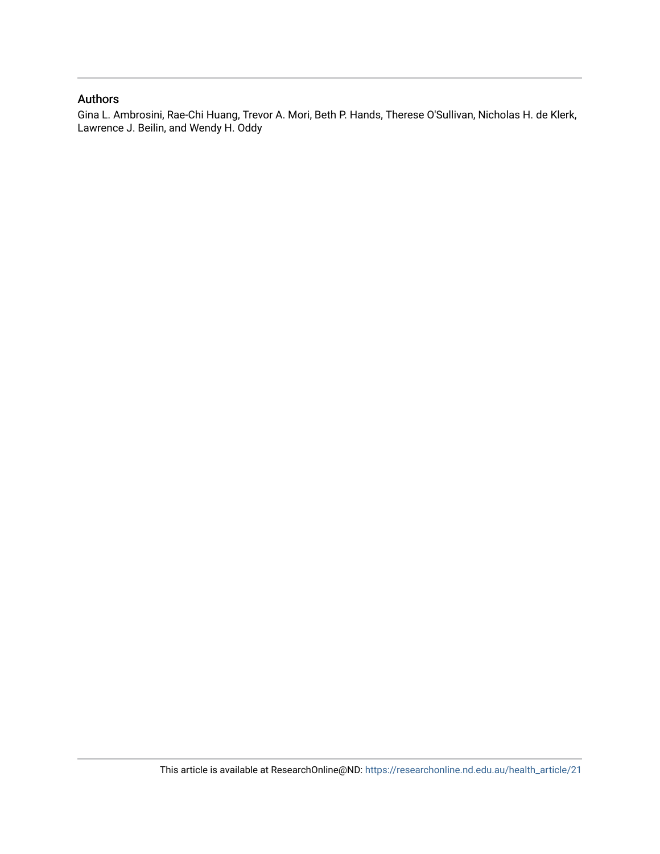### Authors

Gina L. Ambrosini, Rae-Chi Huang, Trevor A. Mori, Beth P. Hands, Therese O'Sullivan, Nicholas H. de Klerk, Lawrence J. Beilin, and Wendy H. Oddy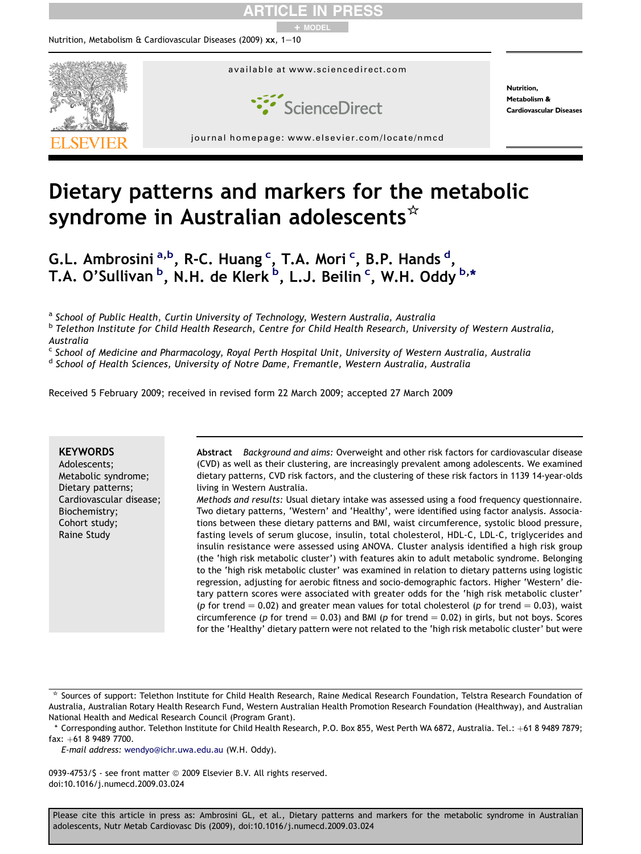

# Dietary patterns and markers for the metabolic syndrome in Australian adolescents $*$

G.L. Ambrosini a,b, R-C. Huang <sup>c</sup>, T.A. Mori <sup>c</sup>, B.P. Hands <sup>d</sup>, T.A. O'Sullivan <sup>b</sup>, N.H. de Klerk <sup>b</sup>, L.J. Beilin <sup>c</sup>, W.H. Oddy <sup>b,</sup>\*

<sup>a</sup> School of Public Health, Curtin University of Technology, Western Australia, Australia

<sup>b</sup> Telethon Institute for Child Health Research, Centre for Child Health Research, University of Western Australia,

Australia

<sup>c</sup> School of Medicine and Pharmacology, Royal Perth Hospital Unit, University of Western Australia, Australia

<sup>d</sup> School of Health Sciences, University of Notre Dame, Fremantle, Western Australia, Australia

Received 5 February 2009; received in revised form 22 March 2009; accepted 27 March 2009

### **KEYWORDS**

Adolescents; Metabolic syndrome; Dietary patterns; Cardiovascular disease; Biochemistry; Cohort study; Raine Study

Abstract Background and aims: Overweight and other risk factors for cardiovascular disease (CVD) as well as their clustering, are increasingly prevalent among adolescents. We examined dietary patterns, CVD risk factors, and the clustering of these risk factors in 1139 14-year-olds living in Western Australia.

Methods and results: Usual dietary intake was assessed using a food frequency questionnaire. Two dietary patterns, 'Western' and 'Healthy', were identified using factor analysis. Associations between these dietary patterns and BMI, waist circumference, systolic blood pressure, fasting levels of serum glucose, insulin, total cholesterol, HDL-C, LDL-C, triglycerides and insulin resistance were assessed using ANOVA. Cluster analysis identified a high risk group (the 'high risk metabolic cluster') with features akin to adult metabolic syndrome. Belonging to the 'high risk metabolic cluster' was examined in relation to dietary patterns using logistic regression, adjusting for aerobic fitness and socio-demographic factors. Higher 'Western' dietary pattern scores were associated with greater odds for the 'high risk metabolic cluster' (p for trend  $= 0.02$ ) and greater mean values for total cholesterol (p for trend  $= 0.03$ ), waist circumference (p for trend  $= 0.03$ ) and BMI (p for trend  $= 0.02$ ) in girls, but not boys. Scores for the 'Healthy' dietary pattern were not related to the 'high risk metabolic cluster' but were

E-mail address: [wendyo@ichr.uwa.edu.au](mailto:wendyo@ichr.uwa.edu.au) (W.H. Oddy).

0939-4753/\$ - see front matter @ 2009 Elsevier B.V. All rights reserved. doi:10.1016/j.numecd.2009.03.024

<sup>\*</sup> Sources of support: Telethon Institute for Child Health Research, Raine Medical Research Foundation, Telstra Research Foundation of Australia, Australian Rotary Health Research Fund, Western Australian Health Promotion Research Foundation (Healthway), and Australian National Health and Medical Research Council (Program Grant).

<sup>\*</sup> Corresponding author. Telethon Institute for Child Health Research, P.O. Box 855, West Perth WA 6872, Australia. Tel.: +61 8 9489 7879; fax: +61 8 9489 7700.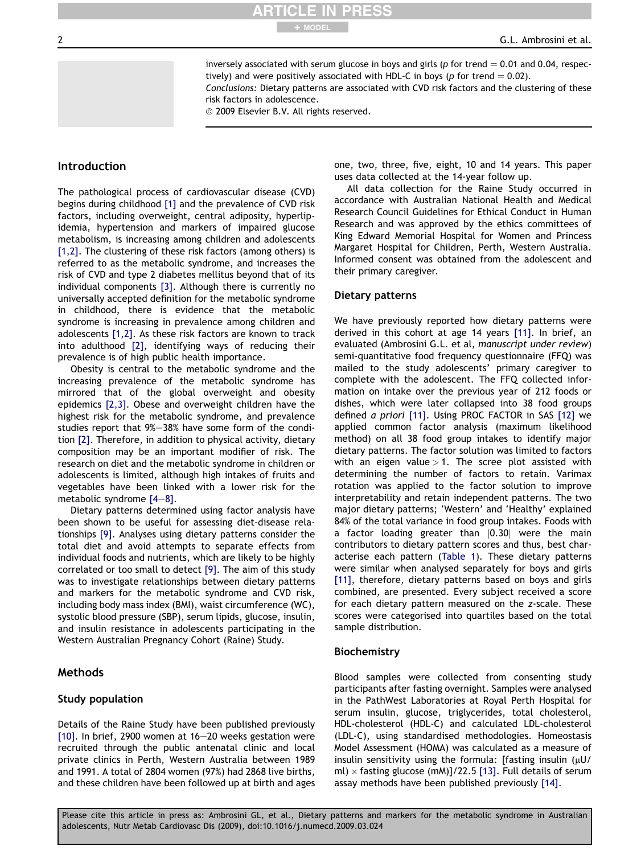inversely associated with serum glucose in boys and girls ( $p$  for trend  $= 0.01$  and 0.04, respectively) and were positively associated with HDL-C in boys (p for trend  $= 0.02$ ).

Conclusions: Dietary patterns are associated with CVD risk factors and the clustering of these risk factors in adolescence.

© 2009 Elsevier B.V. All rights reserved.

ARTICLE IN PRESS

+ MODEL

### Introduction

The pathological process of cardiovascular disease (CVD) begins during childhood [\[1\]](#page-10-0) and the prevalence of CVD risk factors, including overweight, central adiposity, hyperlipidemia, hypertension and markers of impaired glucose metabolism, is increasing among children and adolescents [\[1,2\].](#page-10-0) The clustering of these risk factors (among others) is referred to as the metabolic syndrome, and increases the risk of CVD and type 2 diabetes mellitus beyond that of its individual components [\[3\].](#page-10-0) Although there is currently no universally accepted definition for the metabolic syndrome in childhood, there is evidence that the metabolic syndrome is increasing in prevalence among children and adolescents [\[1,2\]](#page-10-0). As these risk factors are known to track into adulthood [\[2\],](#page-10-0) identifying ways of reducing their prevalence is of high public health importance.

Obesity is central to the metabolic syndrome and the increasing prevalence of the metabolic syndrome has mirrored that of the global overweight and obesity epidemics [\[2,3\]](#page-10-0). Obese and overweight children have the highest risk for the metabolic syndrome, and prevalence studies report that 9%-38% have some form of the condition [\[2\].](#page-10-0) Therefore, in addition to physical activity, dietary composition may be an important modifier of risk. The research on diet and the metabolic syndrome in children or adolescents is limited, although high intakes of fruits and vegetables have been linked with a lower risk for the metabolic syndrome  $[4-8]$  $[4-8]$  $[4-8]$ .

Dietary patterns determined using factor analysis have been shown to be useful for assessing diet-disease relationships [\[9\]](#page-10-0). Analyses using dietary patterns consider the total diet and avoid attempts to separate effects from individual foods and nutrients, which are likely to be highly correlated or too small to detect [\[9\]](#page-10-0). The aim of this study was to investigate relationships between dietary patterns and markers for the metabolic syndrome and CVD risk, including body mass index (BMI), waist circumference (WC), systolic blood pressure (SBP), serum lipids, glucose, insulin, and insulin resistance in adolescents participating in the Western Australian Pregnancy Cohort (Raine) Study.

### **Methods**

### Study population

Details of the Raine Study have been published previously [\[10\].](#page-10-0) In brief, 2900 women at  $16-20$  weeks gestation were recruited through the public antenatal clinic and local private clinics in Perth, Western Australia between 1989 and 1991. A total of 2804 women (97%) had 2868 live births, and these children have been followed up at birth and ages one, two, three, five, eight, 10 and 14 years. This paper uses data collected at the 14-year follow up.

All data collection for the Raine Study occurred in accordance with Australian National Health and Medical Research Council Guidelines for Ethical Conduct in Human Research and was approved by the ethics committees of King Edward Memorial Hospital for Women and Princess Margaret Hospital for Children, Perth, Western Australia. Informed consent was obtained from the adolescent and their primary caregiver.

### Dietary patterns

We have previously reported how dietary patterns were derived in this cohort at age 14 years [\[11\].](#page-10-0) In brief, an evaluated (Ambrosini G.L. et al, manuscript under review) semi-quantitative food frequency questionnaire (FFQ) was mailed to the study adolescents' primary caregiver to complete with the adolescent. The FFQ collected information on intake over the previous year of 212 foods or dishes, which were later collapsed into 38 food groups defined a priori [\[11\]](#page-10-0). Using PROC FACTOR in SAS [\[12\]](#page-10-0) we applied common factor analysis (maximum likelihood method) on all 38 food group intakes to identify major dietary patterns. The factor solution was limited to factors with an eigen value  $>1$ . The scree plot assisted with determining the number of factors to retain. Varimax rotation was applied to the factor solution to improve interpretability and retain independent patterns. The two major dietary patterns; 'Western' and 'Healthy' explained 84% of the total variance in food group intakes. Foods with a factor loading greater than  $|0.30|$  were the main contributors to dietary pattern scores and thus, best characterise each pattern ([Table 1](#page-4-0)). These dietary patterns were similar when analysed separately for boys and girls [\[11\],](#page-10-0) therefore, dietary patterns based on boys and girls combined, are presented. Every subject received a score for each dietary pattern measured on the z-scale. These scores were categorised into quartiles based on the total sample distribution.

### Biochemistry

Blood samples were collected from consenting study participants after fasting overnight. Samples were analysed in the PathWest Laboratories at Royal Perth Hospital for serum insulin, glucose, triglycerides, total cholesterol, HDL-cholesterol (HDL-C) and calculated LDL-cholesterol (LDL-C), using standardised methodologies. Homeostasis Model Assessment (HOMA) was calculated as a measure of insulin sensitivity using the formula: [fasting insulin  $(\mu U)$ ml)  $\times$  fasting glucose (mM)]/22.5 [\[13\]](#page-10-0). Full details of serum assay methods have been published previously [\[14\].](#page-10-0)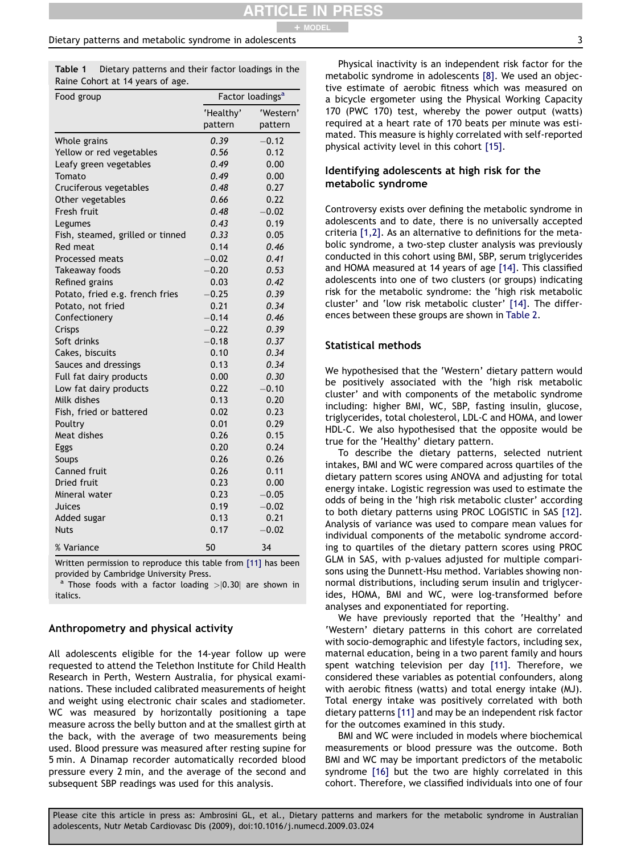#### <span id="page-4-0"></span>Dietary patterns and metabolic syndrome in adolescents 3

Table 1 Dietary patterns and their factor loadings in the Raine Cohort at 14 years of age.

| Food group                       |           | Factor loadings <sup>a</sup> |
|----------------------------------|-----------|------------------------------|
|                                  | 'Healthy' | 'Western'                    |
|                                  | pattern   | pattern                      |
| Whole grains                     | 0.39      | $-0.12$                      |
| Yellow or red vegetables         | 0.56      | 0.12                         |
| Leafy green vegetables           | 0.49      | 0.00                         |
| Tomato                           | 0.49      | 0.00                         |
| Cruciferous vegetables           | 0.48      | 0.27                         |
| Other vegetables                 | 0.66      | 0.22                         |
| Fresh fruit                      | 0.48      | $-0.02$                      |
| Legumes                          | 0.43      | 0.19                         |
| Fish, steamed, grilled or tinned | 0.33      | 0.05                         |
| <b>Red meat</b>                  | 0.14      | 0.46                         |
| Processed meats                  | $-0.02$   | 0.41                         |
| Takeaway foods                   | $-0.20$   | 0.53                         |
| Refined grains                   | 0.03      | 0.42                         |
| Potato, fried e.g. french fries  | $-0.25$   | 0.39                         |
| Potato, not fried                | 0.21      | 0.34                         |
| Confectionery                    | $-0.14$   | 0.46                         |
| Crisps                           | $-0.22$   | 0.39                         |
| Soft drinks                      | $-0.18$   | 0.37                         |
| Cakes, biscuits                  | 0.10      | 0.34                         |
| Sauces and dressings             | 0.13      | 0.34                         |
| Full fat dairy products          | 0.00      | 0.30                         |
| Low fat dairy products           | 0.22      | $-0.10$                      |
| Milk dishes                      | 0.13      | 0.20                         |
| Fish, fried or battered          | 0.02      | 0.23                         |
| Poultry                          | 0.01      | 0.29                         |
| Meat dishes                      | 0.26      | 0.15                         |
| Eggs                             | 0.20      | 0.24                         |
| Soups                            | 0.26      | 0.26                         |
| Canned fruit                     | 0.26      | 0.11                         |
| Dried fruit                      | 0.23      | 0.00                         |
| Mineral water                    | 0.23      | $-0.05$                      |
| Juices                           | 0.19      | $-0.02$                      |
| Added sugar                      | 0.13      | 0.21                         |
| Nuts                             | 0.17      | $-0.02$                      |
| % Variance                       | 50        | 34                           |

Written permission to reproduce this table from [\[11\]](#page-10-0) has been provided by Cambridge University Press.

<sup>a</sup> Those foods with a factor loading  $>$  0.30 are shown in italics.

### Anthropometry and physical activity

All adolescents eligible for the 14-year follow up were requested to attend the Telethon Institute for Child Health Research in Perth, Western Australia, for physical examinations. These included calibrated measurements of height and weight using electronic chair scales and stadiometer. WC was measured by horizontally positioning a tape measure across the belly button and at the smallest girth at the back, with the average of two measurements being used. Blood pressure was measured after resting supine for 5 min. A Dinamap recorder automatically recorded blood pressure every 2 min, and the average of the second and subsequent SBP readings was used for this analysis.

### Identifying adolescents at high risk for the metabolic syndrome

Controversy exists over defining the metabolic syndrome in adolescents and to date, there is no universally accepted criteria [\[1,2\].](#page-10-0) As an alternative to definitions for the metabolic syndrome, a two-step cluster analysis was previously conducted in this cohort using BMI, SBP, serum triglycerides and HOMA measured at 14 years of age [\[14\]](#page-10-0). This classified adolescents into one of two clusters (or groups) indicating risk for the metabolic syndrome: the 'high risk metabolic cluster' and 'low risk metabolic cluster' [\[14\].](#page-10-0) The differences between these groups are shown in [Table 2](#page-5-0).

### Statistical methods

We hypothesised that the 'Western' dietary pattern would be positively associated with the 'high risk metabolic cluster' and with components of the metabolic syndrome including: higher BMI, WC, SBP, fasting insulin, glucose, triglycerides, total cholesterol, LDL-C and HOMA, and lower HDL-C. We also hypothesised that the opposite would be true for the 'Healthy' dietary pattern.

To describe the dietary patterns, selected nutrient intakes, BMI and WC were compared across quartiles of the dietary pattern scores using ANOVA and adjusting for total energy intake. Logistic regression was used to estimate the odds of being in the 'high risk metabolic cluster' according to both dietary patterns using PROC LOGISTIC in SAS [\[12\]](#page-10-0). Analysis of variance was used to compare mean values for individual components of the metabolic syndrome according to quartiles of the dietary pattern scores using PROC GLM in SAS, with p-values adjusted for multiple comparisons using the Dunnett-Hsu method. Variables showing nonnormal distributions, including serum insulin and triglycerides, HOMA, BMI and WC, were log-transformed before analyses and exponentiated for reporting.

We have previously reported that the 'Healthy' and 'Western' dietary patterns in this cohort are correlated with socio-demographic and lifestyle factors, including sex, maternal education, being in a two parent family and hours spent watching television per day [\[11\].](#page-10-0) Therefore, we considered these variables as potential confounders, along with aerobic fitness (watts) and total energy intake (MJ). Total energy intake was positively correlated with both dietary patterns [\[11\]](#page-10-0) and may be an independent risk factor for the outcomes examined in this study.

BMI and WC were included in models where biochemical measurements or blood pressure was the outcome. Both BMI and WC may be important predictors of the metabolic syndrome [\[16\]](#page-10-0) but the two are highly correlated in this cohort. Therefore, we classified individuals into one of four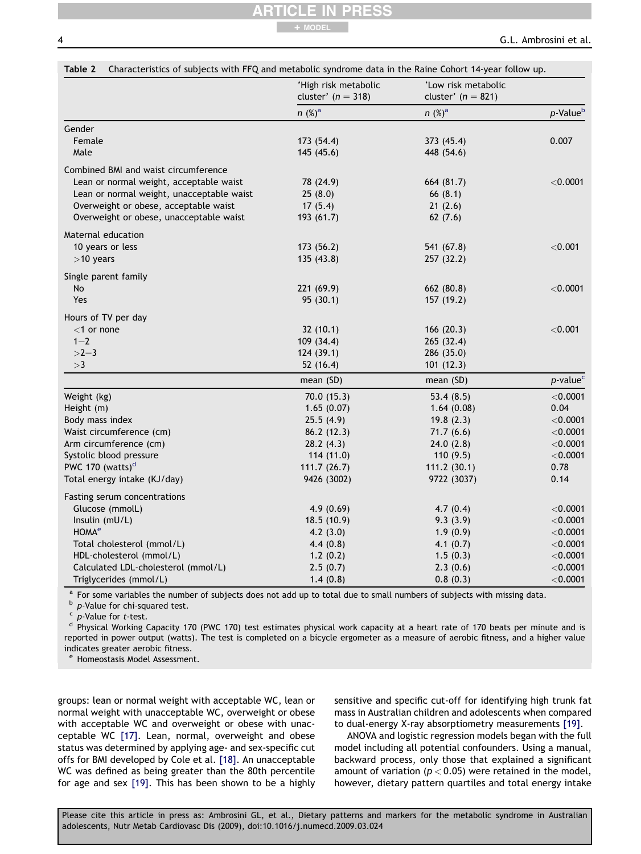## ARTICLE IN PRESS + MODEL

|                                           | 'High risk metabolic<br>cluster' $(n = 318)$ | 'Low risk metabolic<br>cluster' $(n = 821)$ |                         |
|-------------------------------------------|----------------------------------------------|---------------------------------------------|-------------------------|
|                                           | $n (%)^a$                                    | $n (%)^a$                                   | p-Value <sup>b</sup>    |
| Gender                                    |                                              |                                             |                         |
| Female                                    | 173 (54.4)                                   | 373 (45.4)                                  | 0.007                   |
| Male                                      | 145 (45.6)                                   | 448 (54.6)                                  |                         |
| Combined BMI and waist circumference      |                                              |                                             |                         |
| Lean or normal weight, acceptable waist   | 78 (24.9)                                    | 664 (81.7)                                  | $<$ 0.0001              |
| Lean or normal weight, unacceptable waist | 25(8.0)                                      | 66(8.1)                                     |                         |
| Overweight or obese, acceptable waist     | 17(5.4)                                      | 21(2.6)                                     |                         |
| Overweight or obese, unacceptable waist   | 193 (61.7)                                   | 62(7.6)                                     |                         |
| Maternal education                        |                                              |                                             |                         |
| 10 years or less                          | 173 (56.2)                                   | 541 (67.8)                                  | < 0.001                 |
| $>10$ years                               | 135 (43.8)                                   | 257 (32.2)                                  |                         |
|                                           |                                              |                                             |                         |
| Single parent family<br>No                | 221 (69.9)                                   | 662 (80.8)                                  | $<$ 0.0001              |
| Yes                                       | 95(30.1)                                     | 157 (19.2)                                  |                         |
|                                           |                                              |                                             |                         |
| Hours of TV per day                       |                                              |                                             |                         |
| $<$ 1 or none                             | 32(10.1)                                     | 166 (20.3)                                  | $<$ 0.001               |
| $1 - 2$<br>$>2-3$                         | 109 (34.4)                                   | 265 (32.4)                                  |                         |
| >3                                        | 124(39.1)<br>52 (16.4)                       | 286 (35.0)<br>101(12.3)                     |                         |
|                                           |                                              |                                             |                         |
|                                           | mean (SD)                                    | mean (SD)                                   | $p$ -value <sup>c</sup> |
| Weight (kg)                               | 70.0 (15.3)                                  | 53.4 $(8.5)$                                | $<$ 0.0001              |
| Height (m)                                | 1.65(0.07)                                   | 1.64(0.08)                                  | 0.04                    |
| Body mass index                           | 25.5(4.9)                                    | 19.8(2.3)                                   | $<$ 0.0001              |
| Waist circumference (cm)                  | 86.2 (12.3)                                  | 71.7(6.6)                                   | $<$ 0.0001              |
| Arm circumference (cm)                    | 28.2(4.3)                                    | 24.0(2.8)                                   | $<$ 0.0001              |
| Systolic blood pressure                   | 114 (11.0)                                   | 110 (9.5)                                   | $<$ 0.0001              |
| PWC 170 (watts) $d$                       | 111.7(26.7)                                  | 111.2(30.1)                                 | 0.78                    |
| Total energy intake (KJ/day)              | 9426 (3002)                                  | 9722 (3037)                                 | 0.14                    |
| Fasting serum concentrations              |                                              |                                             |                         |
| Glucose (mmolL)                           | 4.9(0.69)                                    | 4.7(0.4)                                    | $<$ 0.0001              |
| Insulin (mU/L)                            | 18.5(10.9)                                   | 9.3(3.9)                                    | $<$ 0.0001              |
| HOMA <sup>e</sup>                         | 4.2(3.0)                                     | 1.9(0.9)                                    | $<$ 0.0001              |
| Total cholesterol (mmol/L)                | 4.4(0.8)                                     | 4.1(0.7)                                    | $<$ 0.0001              |
| HDL-cholesterol (mmol/L)                  | 1.2(0.2)                                     | 1.5(0.3)                                    | $<$ 0.0001              |
| Calculated LDL-cholesterol (mmol/L)       | 2.5(0.7)                                     | 2.3(0.6)                                    | $<$ 0.0001              |
| Triglycerides (mmol/L)                    | 1.4(0.8)                                     | 0.8(0.3)                                    | $<$ 0.0001              |

<sup>a</sup> For some variables the number of subjects does not add up to total due to small numbers of subjects with missing data.<br><sup>b</sup> p-Value for chi-squared test.<br><sup>c</sup> p-Value for *t*-test.<br><sup>d</sup> Physical Working Capacity 170 (PWC reported in power output (watts). The test is completed on a bicycle ergometer as a measure of aerobic fitness, and a higher value indicates greater aerobic fitness.

<sup>e</sup> Homeostasis Model Assessment.

groups: lean or normal weight with acceptable WC, lean or normal weight with unacceptable WC, overweight or obese with acceptable WC and overweight or obese with unacceptable WC [\[17\]](#page-10-0). Lean, normal, overweight and obese status was determined by applying age- and sex-specific cut offs for BMI developed by Cole et al. [\[18\].](#page-10-0) An unacceptable WC was defined as being greater than the 80th percentile for age and sex [\[19\]](#page-10-0). This has been shown to be a highly sensitive and specific cut-off for identifying high trunk fat mass in Australian children and adolescents when compared to dual-energy X-ray absorptiometry measurements [\[19\]](#page-10-0).

ANOVA and logistic regression models began with the full model including all potential confounders. Using a manual, backward process, only those that explained a significant amount of variation ( $p < 0.05$ ) were retained in the model, however, dietary pattern quartiles and total energy intake

<span id="page-5-0"></span>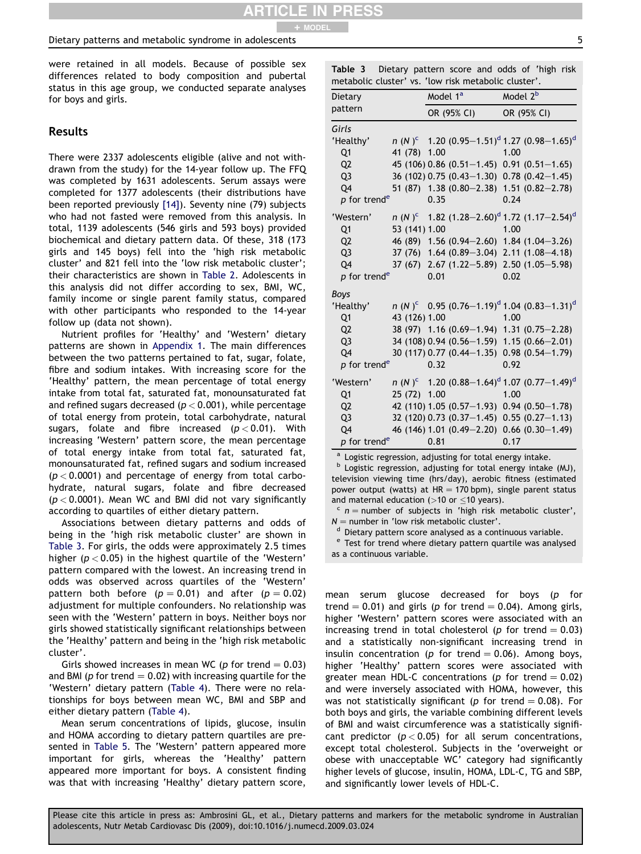#### Dietary patterns and metabolic syndrome in adolescents 5

were retained in all models. Because of possible sex differences related to body composition and pubertal status in this age group, we conducted separate analyses for boys and girls.

### Results

There were 2337 adolescents eligible (alive and not withdrawn from the study) for the 14-year follow up. The FFQ was completed by 1631 adolescents. Serum assays were completed for 1377 adolescents (their distributions have been reported previously [\[14\]\)](#page-10-0). Seventy nine (79) subjects who had not fasted were removed from this analysis. In total, 1139 adolescents (546 girls and 593 boys) provided biochemical and dietary pattern data. Of these, 318 (173 girls and 145 boys) fell into the 'high risk metabolic cluster' and 821 fell into the 'low risk metabolic cluster'; their characteristics are shown in [Table 2](#page-5-0). Adolescents in this analysis did not differ according to sex, BMI, WC, family income or single parent family status, compared with other participants who responded to the 14-year follow up (data not shown).

Nutrient profiles for 'Healthy' and 'Western' dietary patterns are shown in [Appendix 1](#page-9-0). The main differences between the two patterns pertained to fat, sugar, folate, fibre and sodium intakes. With increasing score for the 'Healthy' pattern, the mean percentage of total energy intake from total fat, saturated fat, monounsaturated fat and refined sugars decreased ( $p < 0.001$ ), while percentage of total energy from protein, total carbohydrate, natural sugars, folate and fibre increased  $(p < 0.01)$ . With increasing 'Western' pattern score, the mean percentage of total energy intake from total fat, saturated fat, monounsaturated fat, refined sugars and sodium increased  $(p < 0.0001)$  and percentage of energy from total carbohydrate, natural sugars, folate and fibre decreased  $(p < 0.0001)$ . Mean WC and BMI did not vary significantly according to quartiles of either dietary pattern.

Associations between dietary patterns and odds of being in the 'high risk metabolic cluster' are shown in Table 3. For girls, the odds were approximately 2.5 times higher ( $p < 0.05$ ) in the highest quartile of the 'Western' pattern compared with the lowest. An increasing trend in odds was observed across quartiles of the 'Western' pattern both before ( $p = 0.01$ ) and after ( $p = 0.02$ ) adjustment for multiple confounders. No relationship was seen with the 'Western' pattern in boys. Neither boys nor girls showed statistically significant relationships between the 'Healthy' pattern and being in the 'high risk metabolic cluster'.

Girls showed increases in mean WC (p for trend  $= 0.03$ ) and BMI (p for trend  $= 0.02$ ) with increasing quartile for the 'Western' dietary pattern ([Table 4\)](#page-7-0). There were no relationships for boys between mean WC, BMI and SBP and either dietary pattern ([Table 4\)](#page-7-0).

Mean serum concentrations of lipids, glucose, insulin and HOMA according to dietary pattern quartiles are presented in [Table 5](#page-8-0). The 'Western' pattern appeared more important for girls, whereas the 'Healthy' pattern appeared more important for boys. A consistent finding was that with increasing 'Healthy' dietary pattern score, Table 3 Dietary pattern score and odds of 'high risk metabolic cluster' vs. 'low risk metabolic cluster'.

| <b>INCLADULIC CLUSTEI</b>  | vJ.           |                      | <b>TOW HOW HIGRODORE CROSTER</b>           |                      |                                                                                |
|----------------------------|---------------|----------------------|--------------------------------------------|----------------------|--------------------------------------------------------------------------------|
| Dietary                    |               | Model 1 <sup>a</sup> |                                            | Model 2 <sup>b</sup> |                                                                                |
| pattern                    |               |                      | OR (95% CI)                                |                      | OR (95% CI)                                                                    |
| Girls                      |               |                      |                                            |                      |                                                                                |
| 'Healthy'                  |               |                      |                                            |                      | n (N) <sup>c</sup> 1.20 (0.95–1.51) <sup>d</sup> 1.27 (0.98–1.65) <sup>d</sup> |
| Q1                         | 41 (78) 1.00  |                      |                                            | 1.00                 |                                                                                |
| Q <sub>2</sub>             |               |                      | 45 (106) 0.86 (0.51-1.45) 0.91 (0.51-1.65) |                      |                                                                                |
| Q <sub>3</sub>             |               |                      | 36 (102) 0.75 (0.43-1.30) 0.78 (0.42-1.45) |                      |                                                                                |
| Q4                         |               |                      | 51 (87) 1.38 (0.80-2.38) 1.51 (0.82-2.78)  |                      |                                                                                |
| $p$ for trend <sup>e</sup> |               | 0.35                 |                                            | 0.24                 |                                                                                |
| 'Western'                  |               |                      |                                            |                      | n (N) <sup>c</sup> 1.82 (1.28–2.60) <sup>d</sup> 1.72 (1.17–2.54) <sup>d</sup> |
| Q <sub>1</sub>             | 53 (141) 1.00 |                      |                                            | 1.00                 |                                                                                |
| Q <sub>2</sub>             |               |                      | 46 (89) 1.56 (0.94-2.60) 1.84 (1.04-3.26)  |                      |                                                                                |
| Q <sub>3</sub>             |               |                      | 37 (76) 1.64 (0.89-3.04) 2.11 (1.08-4.18)  |                      |                                                                                |
| Q4                         |               |                      | 37 (67) 2.67 (1.22-5.89) 2.50 (1.05-5.98)  |                      |                                                                                |
| p for trend <sup>e</sup>   |               | 0.01                 |                                            | 0.02                 |                                                                                |
| <b>Boys</b>                |               |                      |                                            |                      |                                                                                |
| 'Healthy'                  |               |                      |                                            |                      | $n(N)^c$ 0.95 $(0.76-1.19)^d$ 1.04 $(0.83-1.31)^d$                             |
| Q <sub>1</sub>             | 43 (126) 1.00 |                      |                                            | 1.00                 |                                                                                |
| Q <sub>2</sub>             |               |                      | 38 (97) 1.16 (0.69-1.94) 1.31 (0.75-2.28)  |                      |                                                                                |
| Q <sub>3</sub>             |               |                      | 34 (108) 0.94 (0.56-1.59) 1.15 (0.66-2.01) |                      |                                                                                |
| Q4                         |               |                      | 30 (117) 0.77 (0.44-1.35) 0.98 (0.54-1.79) |                      |                                                                                |
| p for trend <sup>e</sup>   |               | 0.32                 |                                            | 0.92                 |                                                                                |
| 'Western'                  |               |                      |                                            |                      | n (N) <sup>c</sup> 1.20 (0.88–1.64) <sup>d</sup> 1.07 (0.77–1.49) <sup>d</sup> |
| Q1                         | 25 (72) 1.00  |                      |                                            | 1.00                 |                                                                                |
| Q <sub>2</sub>             |               |                      | 42 (110) 1.05 (0.57-1.93) 0.94 (0.50-1.78) |                      |                                                                                |
| Q <sub>3</sub>             |               |                      | 32 (120) 0.73 (0.37-1.45) 0.55 (0.27-1.13) |                      |                                                                                |
| Q4                         |               |                      | 46 (146) 1.01 (0.49-2.20) 0.66 (0.30-1.49) |                      |                                                                                |
| p for trend <sup>e</sup>   |               | 0.81                 |                                            | 0.17                 |                                                                                |

<sup>a</sup> Logistic regression, adjusting for total energy intake.<br><sup>b</sup> Logistic regression, adjusting for total energy intake (MJ), television viewing time (hrs/day), aerobic fitness (estimated power output (watts) at  $HR = 170$  bpm), single parent status and maternal education (>10 or  $\leq$ 10 years). <sup>c</sup> n = number of subjects in 'high risk metabolic cluster',

 $N =$  number in 'low risk metabolic cluster'.<br>d Dietary pattern score analysed as a continuous variable.<br>e Test for trend where dietary pattern quartile was analysed as a continuous variable.

mean serum glucose decreased for boys (p for trend = 0.01) and girls (p for trend = 0.04). Among girls, higher 'Western' pattern scores were associated with an increasing trend in total cholesterol (p for trend  $= 0.03$ ) and a statistically non-significant increasing trend in insulin concentration (p for trend  $= 0.06$ ). Among boys, higher 'Healthy' pattern scores were associated with greater mean HDL-C concentrations ( $p$  for trend = 0.02) and were inversely associated with HOMA, however, this was not statistically significant (p for trend  $= 0.08$ ). For both boys and girls, the variable combining different levels of BMI and waist circumference was a statistically significant predictor  $(p < 0.05)$  for all serum concentrations, except total cholesterol. Subjects in the 'overweight or obese with unacceptable WC' category had significantly higher levels of glucose, insulin, HOMA, LDL-C, TG and SBP, and significantly lower levels of HDL-C.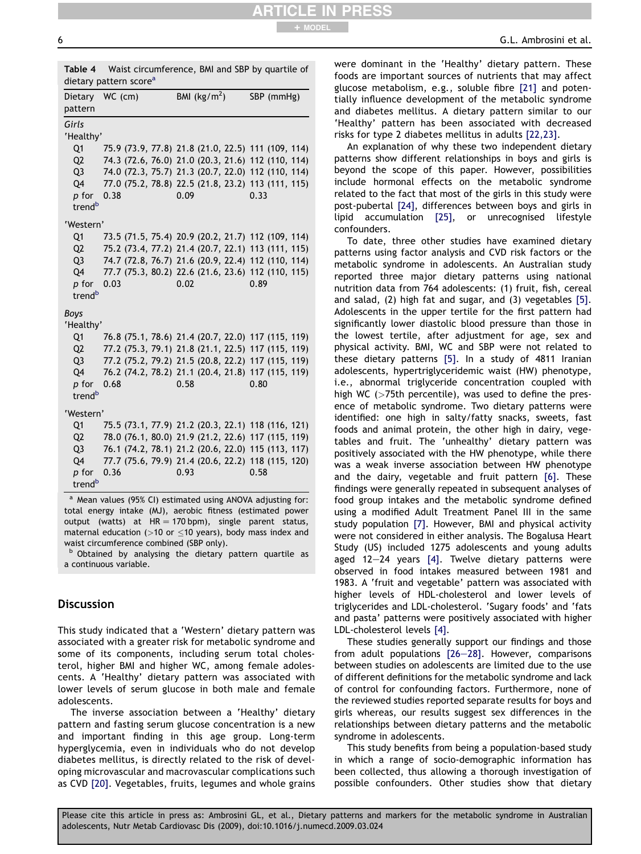<span id="page-7-0"></span>

| dietary pattern score <sup>a</sup>                             |  |  |
|----------------------------------------------------------------|--|--|
| <b>Table 4</b> Waist circumference, BMI and SBP by quartile of |  |  |
|                                                                |  |  |

ARTICLE IN PRESS

+ MODEL

| Dietary<br>pattern                                                                                   | WC (cm) | BMI $(kg/m2)$                                                                                                                                                                                                                | SBP (mmHg) |
|------------------------------------------------------------------------------------------------------|---------|------------------------------------------------------------------------------------------------------------------------------------------------------------------------------------------------------------------------------|------------|
| Girls<br>'Healthy'<br>Q <sub>1</sub><br>Q2<br>Q <sub>3</sub><br>Q4<br>p for<br>trend <sup>b</sup>    | 0.38    | 75.9 (73.9, 77.8) 21.8 (21.0, 22.5) 111 (109, 114)<br>74.3 (72.6, 76.0) 21.0 (20.3, 21.6) 112 (110, 114)<br>74.0 (72.3, 75.7) 21.3 (20.7, 22.0) 112 (110, 114)<br>77.0 (75.2, 78.8) 22.5 (21.8, 23.2) 113 (111, 115)<br>0.09 | 0.33       |
| 'Western'<br>Q <sub>1</sub><br>Q <sub>2</sub><br>Q <sub>3</sub><br>04<br>p for<br>trend <sup>b</sup> | 0.03    | 73.5 (71.5, 75.4) 20.9 (20.2, 21.7) 112 (109, 114)<br>75.2 (73.4, 77.2) 21.4 (20.7, 22.1) 113 (111, 115)<br>74.7 (72.8, 76.7) 21.6 (20.9, 22.4) 112 (110, 114)<br>77.7 (75.3, 80.2) 22.6 (21.6, 23.6) 112 (110, 115)<br>0.02 | 0.89       |
| <b>Boys</b><br>'Healthy'<br>Q1<br>Q2<br>Q <sub>3</sub><br>Q4<br>p for<br>trend <sup>b</sup>          | 0.68    | 76.8 (75.1, 78.6) 21.4 (20.7, 22.0) 117 (115, 119)<br>77.2 (75.3, 79.1) 21.8 (21.1, 22.5) 117 (115, 119)<br>77.2 (75.2, 79.2) 21.5 (20.8, 22.2) 117 (115, 119)<br>76.2 (74.2, 78.2) 21.1 (20.4, 21.8) 117 (115, 119)<br>0.58 | 0.80       |
| 'Western'<br>Q1<br>Q <sub>2</sub><br>Q <sub>3</sub><br>Q4<br>p for<br>trend <sup>b</sup>             | 0.36    | 75.5 (73.1, 77.9) 21.2 (20.3, 22.1) 118 (116, 121)<br>78.0 (76.1, 80.0) 21.9 (21.2, 22.6) 117 (115, 119)<br>76.1 (74.2, 78.1) 21.2 (20.6, 22.0) 115 (113, 117)<br>77.7 (75.6, 79.9) 21.4 (20.6, 22.2) 118 (115, 120)<br>0.93 | 0.58       |

a Mean values (95% CI) estimated using ANOVA adjusting for: total energy intake (MJ), aerobic fitness (estimated power output (watts) at  $HR = 170$  bpm), single parent status, maternal education ( $>10$  or  $<$ 10 years), body mass index and waist circumference combined (SBP only).

b Obtained by analysing the dietary pattern quartile as a continuous variable.

### **Discussion**

This study indicated that a 'Western' dietary pattern was associated with a greater risk for metabolic syndrome and some of its components, including serum total cholesterol, higher BMI and higher WC, among female adolescents. A 'Healthy' dietary pattern was associated with lower levels of serum glucose in both male and female adolescents.

The inverse association between a 'Healthy' dietary pattern and fasting serum glucose concentration is a new and important finding in this age group. Long-term hyperglycemia, even in individuals who do not develop diabetes mellitus, is directly related to the risk of developing microvascular and macrovascular complications such as CVD [\[20\].](#page-10-0) Vegetables, fruits, legumes and whole grains were dominant in the 'Healthy' dietary pattern. These foods are important sources of nutrients that may affect glucose metabolism, e.g., soluble fibre [\[21\]](#page-11-0) and potentially influence development of the metabolic syndrome and diabetes mellitus. A dietary pattern similar to our 'Healthy' pattern has been associated with decreased risks for type 2 diabetes mellitus in adults [\[22,23\].](#page-11-0)

An explanation of why these two independent dietary patterns show different relationships in boys and girls is beyond the scope of this paper. However, possibilities include hormonal effects on the metabolic syndrome related to the fact that most of the girls in this study were post-pubertal [\[24\]](#page-11-0), differences between boys and girls in lipid accumulation [\[25\]](#page-11-0), or unrecognised lifestyle confounders.

To date, three other studies have examined dietary patterns using factor analysis and CVD risk factors or the metabolic syndrome in adolescents. An Australian study reported three major dietary patterns using national nutrition data from 764 adolescents: (1) fruit, fish, cereal and salad, (2) high fat and sugar, and (3) vegetables [\[5\].](#page-10-0) Adolescents in the upper tertile for the first pattern had significantly lower diastolic blood pressure than those in the lowest tertile, after adjustment for age, sex and physical activity. BMI, WC and SBP were not related to these dietary patterns [\[5\].](#page-10-0) In a study of 4811 Iranian adolescents, hypertriglyceridemic waist (HW) phenotype, i.e., abnormal triglyceride concentration coupled with high WC (>75th percentile), was used to define the presence of metabolic syndrome. Two dietary patterns were identified: one high in salty/fatty snacks, sweets, fast foods and animal protein, the other high in dairy, vegetables and fruit. The 'unhealthy' dietary pattern was positively associated with the HW phenotype, while there was a weak inverse association between HW phenotype and the dairy, vegetable and fruit pattern [\[6\]](#page-10-0). These findings were generally repeated in subsequent analyses of food group intakes and the metabolic syndrome defined using a modified Adult Treatment Panel III in the same study population [\[7\]](#page-10-0). However, BMI and physical activity were not considered in either analysis. The Bogalusa Heart Study (US) included 1275 adolescents and young adults aged 12 $-24$  years [\[4\]](#page-10-0). Twelve dietary patterns were observed in food intakes measured between 1981 and 1983. A 'fruit and vegetable' pattern was associated with higher levels of HDL-cholesterol and lower levels of triglycerides and LDL-cholesterol. 'Sugary foods' and 'fats and pasta' patterns were positively associated with higher LDL-cholesterol levels [\[4\].](#page-10-0)

These studies generally support our findings and those from adult populations  $[26-28]$  $[26-28]$  $[26-28]$ . However, comparisons between studies on adolescents are limited due to the use of different definitions for the metabolic syndrome and lack of control for confounding factors. Furthermore, none of the reviewed studies reported separate results for boys and girls whereas, our results suggest sex differences in the relationships between dietary patterns and the metabolic syndrome in adolescents.

This study benefits from being a population-based study in which a range of socio-demographic information has been collected, thus allowing a thorough investigation of possible confounders. Other studies show that dietary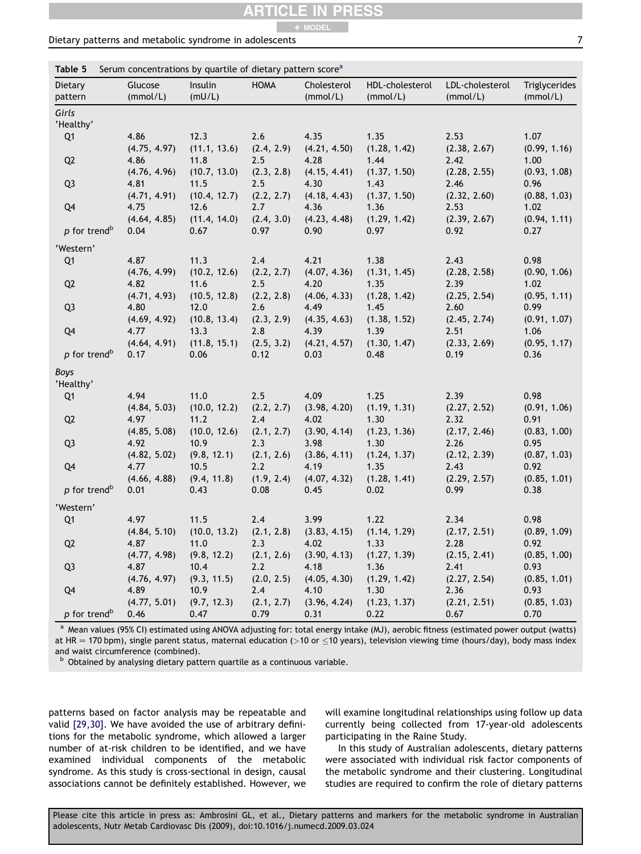### ARTICLE IN PRESS + MODEL

### <span id="page-8-0"></span>Dietary patterns and metabolic syndrome in adolescents **7** and 7 and 7 and 7 and 7 and 7 and 7 and 7 and 7 and 7 and 7 and 7 and 7 and 7 and 7 and 7 and 7 and 7 and 7 and 7 and 7 and 7 and 7 and 7 and 7 and 7 and 7 and 7 a

Table 5 Serum concentrations by quartile of dietary pattern score<sup>a</sup>

| Dietary                  | Glucose      | Insulin      | <b>HOMA</b> | Cholesterol  | HDL-cholesterol | LDL-cholesterol | Triglycerides |
|--------------------------|--------------|--------------|-------------|--------------|-----------------|-----------------|---------------|
| pattern                  | (mmol/L)     | (mU/L)       |             | (mmol/L)     | (mmol/L)        | (mmol/L)        | (mmol/L)      |
| Girls                    |              |              |             |              |                 |                 |               |
| 'Healthy'                |              |              |             |              |                 |                 |               |
| Q1                       | 4.86         | 12.3         | 2.6         | 4.35         | 1.35            | 2.53            | 1.07          |
|                          | (4.75, 4.97) | (11.1, 13.6) | (2.4, 2.9)  | (4.21, 4.50) | (1.28, 1.42)    | (2.38, 2.67)    | (0.99, 1.16)  |
| Q <sub>2</sub>           | 4.86         | 11.8         | 2.5         | 4.28         | 1.44            | 2.42            | 1.00          |
|                          | (4.76, 4.96) | (10.7, 13.0) | (2.3, 2.8)  | (4.15, 4.41) | (1.37, 1.50)    | (2.28, 2.55)    | (0.93, 1.08)  |
| Q <sub>3</sub>           | 4.81         | 11.5         | 2.5         | 4.30         | 1.43            | 2.46            | 0.96          |
|                          | (4.71, 4.91) | (10.4, 12.7) | (2.2, 2.7)  | (4.18, 4.43) | (1.37, 1.50)    | (2.32, 2.60)    | (0.88, 1.03)  |
| Q4                       | 4.75         | 12.6         | 2.7         | 4.36         | 1.36            | 2.53            | 1.02          |
|                          | (4.64, 4.85) | (11.4, 14.0) | (2.4, 3.0)  | (4.23, 4.48) | (1.29, 1.42)    | (2.39, 2.67)    | (0.94, 1.11)  |
| p for trend <sup>b</sup> | 0.04         | 0.67         | 0.97        | 0.90         | 0.97            | 0.92            | 0.27          |
| 'Western'                |              |              |             |              |                 |                 |               |
| Q1                       | 4.87         | 11.3         | 2.4         | 4.21         | 1.38            | 2.43            | 0.98          |
|                          | (4.76, 4.99) | (10.2, 12.6) | (2.2, 2.7)  | (4.07, 4.36) | (1.31, 1.45)    | (2.28, 2.58)    | (0.90, 1.06)  |
| Q <sub>2</sub>           | 4.82         | 11.6         | 2.5         | 4.20         | 1.35            | 2.39            | 1.02          |
|                          | (4.71, 4.93) | (10.5, 12.8) | (2.2, 2.8)  | (4.06, 4.33) | (1.28, 1.42)    | (2.25, 2.54)    | (0.95, 1.11)  |
| Q <sub>3</sub>           | 4.80         | 12.0         | 2.6         | 4.49         | 1.45            | 2.60            | 0.99          |
|                          | (4.69, 4.92) | (10.8, 13.4) | (2.3, 2.9)  | (4.35, 4.63) | (1.38, 1.52)    | (2.45, 2.74)    | (0.91, 1.07)  |
| Q <sub>4</sub>           | 4.77         | 13.3         | 2.8         | 4.39         | 1.39            | 2.51            | 1.06          |
|                          | (4.64, 4.91) | (11.8, 15.1) | (2.5, 3.2)  | (4.21, 4.57) | (1.30, 1.47)    | (2.33, 2.69)    | (0.95, 1.17)  |
| p for trend <sup>b</sup> | 0.17         | 0.06         | 0.12        | 0.03         | 0.48            | 0.19            | 0.36          |
| <b>Boys</b>              |              |              |             |              |                 |                 |               |
| 'Healthy'                |              |              |             |              |                 |                 |               |
| Q1                       | 4.94         | 11.0         | 2.5         | 4.09         | 1.25            | 2.39            | 0.98          |
|                          | (4.84, 5.03) | (10.0, 12.2) | (2.2, 2.7)  | (3.98, 4.20) | (1.19, 1.31)    | (2.27, 2.52)    | (0.91, 1.06)  |
| Q <sub>2</sub>           | 4.97         | 11.2         | 2.4         | 4.02         | 1.30            | 2.32            | 0.91          |
|                          | (4.85, 5.08) | (10.0, 12.6) | (2.1, 2.7)  | (3.90, 4.14) | (1.23, 1.36)    | (2.17, 2.46)    | (0.83, 1.00)  |
| Q <sub>3</sub>           | 4.92         | 10.9         | 2.3         | 3.98         | 1.30            | 2.26            | 0.95          |
|                          | (4.82, 5.02) | (9.8, 12.1)  | (2.1, 2.6)  | (3.86, 4.11) | (1.24, 1.37)    | (2.12, 2.39)    | (0.87, 1.03)  |
| Q4                       | 4.77         | 10.5         | 2.2         | 4.19         | 1.35            | 2.43            | 0.92          |
|                          | (4.66, 4.88) | (9.4, 11.8)  | (1.9, 2.4)  | (4.07, 4.32) | (1.28, 1.41)    | (2.29, 2.57)    | (0.85, 1.01)  |
| p for trend <sup>b</sup> | 0.01         | 0.43         | 0.08        | 0.45         | 0.02            | 0.99            | 0.38          |
| 'Western'                |              |              |             |              |                 |                 |               |
| Q1                       | 4.97         | 11.5         | 2.4         | 3.99         | 1.22            | 2.34            | 0.98          |
|                          | (4.84, 5.10) | (10.0, 13.2) | (2.1, 2.8)  | (3.83, 4.15) | (1.14, 1.29)    | (2.17, 2.51)    | (0.89, 1.09)  |
| Q <sub>2</sub>           | 4.87         | 11.0         | 2.3         | 4.02         | 1.33            | 2.28            | 0.92          |
|                          | (4.77, 4.98) | (9.8, 12.2)  | (2.1, 2.6)  | (3.90, 4.13) | (1.27, 1.39)    | (2.15, 2.41)    | (0.85, 1.00)  |
| Q <sub>3</sub>           | 4.87         | 10.4         | 2.2         | 4.18         | 1.36            | 2.41            | 0.93          |
|                          | (4.76, 4.97) | (9.3, 11.5)  | (2.0, 2.5)  | (4.05, 4.30) | (1.29, 1.42)    | (2.27, 2.54)    | (0.85, 1.01)  |
| Q4                       | 4.89         | 10.9         | 2.4         | 4.10         | 1.30            | 2.36            | 0.93          |
|                          | (4.77, 5.01) | (9.7, 12.3)  | (2.1, 2.7)  | (3.96, 4.24) | (1.23, 1.37)    | (2.21, 2.51)    | (0.85, 1.03)  |
| p for trend <sup>b</sup> | 0.46         | 0.47         | 0.79        | 0.31         | 0.22            | 0.67            | 0.70          |

<sup>a</sup> Mean values (95% CI) estimated using ANOVA adjusting for: total energy intake (MJ), aerobic fitness (estimated power output (watts) at HR = 170 bpm), single parent status, maternal education (>10 or  $\leq$ 10 years), television viewing time (hours/day), body mass index and waist circumference (combined).

b Obtained by analysing dietary pattern quartile as a continuous variable.

patterns based on factor analysis may be repeatable and valid [\[29,30\]](#page-11-0). We have avoided the use of arbitrary definitions for the metabolic syndrome, which allowed a larger number of at-risk children to be identified, and we have examined individual components of the metabolic syndrome. As this study is cross-sectional in design, causal associations cannot be definitely established. However, we

will examine longitudinal relationships using follow up data currently being collected from 17-year-old adolescents participating in the Raine Study.

In this study of Australian adolescents, dietary patterns were associated with individual risk factor components of the metabolic syndrome and their clustering. Longitudinal studies are required to confirm the role of dietary patterns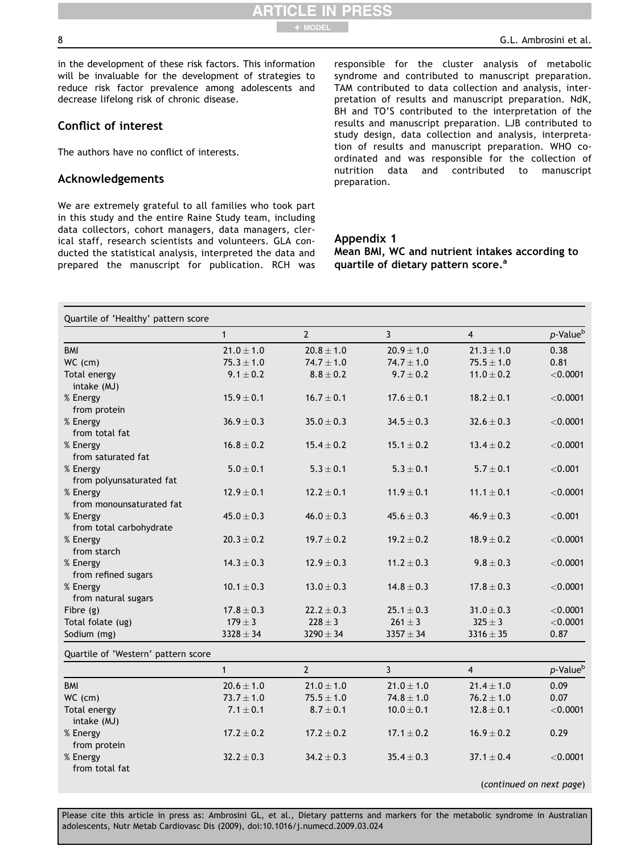<span id="page-9-0"></span>in the development of these risk factors. This information will be invaluable for the development of strategies to reduce risk factor prevalence among adolescents and decrease lifelong risk of chronic disease.

### Conflict of interest

The authors have no conflict of interests.

### Acknowledgements

We are extremely grateful to all families who took part in this study and the entire Raine Study team, including data collectors, cohort managers, data managers, clerical staff, research scientists and volunteers. GLA conducted the statistical analysis, interpreted the data and prepared the manuscript for publication. RCH was responsible for the cluster analysis of metabolic syndrome and contributed to manuscript preparation. TAM contributed to data collection and analysis, interpretation of results and manuscript preparation. NdK, BH and TO'S contributed to the interpretation of the results and manuscript preparation. LJB contributed to study design, data collection and analysis, interpretation of results and manuscript preparation. WHO coordinated and was responsible for the collection of nutrition data and contributed to manuscript preparation.

### Appendix 1

ARTICLE IN PRESS

+ MODEL

Mean BMI, WC and nutrient intakes according to quartile of dietary pattern score.<sup>a</sup>

| Quartile of 'Healthy' pattern score |                |                |                |                |                          |
|-------------------------------------|----------------|----------------|----------------|----------------|--------------------------|
|                                     | $\mathbf{1}$   | $\overline{2}$ | 3              | $\overline{4}$ | p-Value <sup>b</sup>     |
| <b>BMI</b>                          | $21.0 \pm 1.0$ | $20.8 \pm 1.0$ | $20.9 \pm 1.0$ | $21.3 \pm 1.0$ | 0.38                     |
| WC (cm)                             | $75.3 \pm 1.0$ | $74.7 \pm 1.0$ | $74.7 \pm 1.0$ | $75.5 \pm 1.0$ | 0.81                     |
| Total energy                        | $9.1 \pm 0.2$  | $8.8 \pm 0.2$  | $9.7 \pm 0.2$  | $11.0 \pm 0.2$ | $<$ 0.0001               |
| intake (MJ)                         |                |                |                |                |                          |
| % Energy                            | $15.9 \pm 0.1$ | $16.7 \pm 0.1$ | $17.6 \pm 0.1$ | $18.2 \pm 0.1$ | $<$ 0.0001               |
| from protein                        |                |                |                |                |                          |
| % Energy                            | $36.9 \pm 0.3$ | $35.0 \pm 0.3$ | $34.5 \pm 0.3$ | $32.6 \pm 0.3$ | $<$ 0.0001               |
| from total fat                      |                |                |                |                |                          |
| % Energy                            | $16.8 \pm 0.2$ | $15.4 \pm 0.2$ | $15.1 \pm 0.2$ | $13.4 \pm 0.2$ | $<$ 0.0001               |
| from saturated fat                  |                |                |                |                |                          |
| % Energy                            | $5.0\pm0.1$    | $5.3 \pm 0.1$  | $5.3 \pm 0.1$  | $5.7 \pm 0.1$  | < 0.001                  |
| from polyunsaturated fat            |                |                |                |                |                          |
| % Energy                            | $12.9 \pm 0.1$ | $12.2 \pm 0.1$ | $11.9 \pm 0.1$ | $11.1 \pm 0.1$ | < 0.0001                 |
| from monounsaturated fat            |                |                |                |                |                          |
| % Energy                            | $45.0 \pm 0.3$ | $46.0 \pm 0.3$ | $45.6 \pm 0.3$ | $46.9 \pm 0.3$ | < 0.001                  |
| from total carbohydrate             |                |                |                |                |                          |
| % Energy                            | $20.3 \pm 0.2$ | $19.7 \pm 0.2$ | $19.2 \pm 0.2$ | $18.9 \pm 0.2$ | $<$ 0.0001               |
| from starch                         |                |                |                |                |                          |
| % Energy                            | $14.3 \pm 0.3$ | $12.9 \pm 0.3$ | $11.2 \pm 0.3$ | $9.8 \pm 0.3$  | $<$ 0.0001               |
| from refined sugars                 |                |                |                |                |                          |
| % Energy                            | $10.1 \pm 0.3$ | $13.0 \pm 0.3$ | $14.8 \pm 0.3$ | $17.8 \pm 0.3$ | $<$ 0.0001               |
| from natural sugars                 |                |                |                |                |                          |
| Fibre $(g)$                         | $17.8 \pm 0.3$ | $22.2 \pm 0.3$ | $25.1\pm0.3$   | $31.0 \pm 0.3$ | $<$ 0.0001               |
| Total folate (ug)                   | $179 \pm 3$    | $228 \pm 3$    | $261 \pm 3$    | $325 \pm 3$    | $<$ 0.0001               |
| Sodium (mg)                         | $3328 \pm 34$  | $3290 \pm 34$  | $3357 \pm 34$  | $3316 \pm 35$  | 0.87                     |
| Quartile of 'Western' pattern score |                |                |                |                |                          |
|                                     | $\mathbf{1}$   | $\overline{2}$ | 3              | $\overline{4}$ | p-Value <sup>b</sup>     |
| <b>BMI</b>                          | $20.6 \pm 1.0$ | $21.0 \pm 1.0$ | $21.0 \pm 1.0$ | $21.4\pm1.0$   | 0.09                     |
| WC (cm)                             | $73.7 \pm 1.0$ | $75.5 \pm 1.0$ | $74.8 \pm 1.0$ | $76.2 \pm 1.0$ | 0.07                     |
| Total energy                        | $7.1 \pm 0.1$  | $8.7 \pm 0.1$  | $10.0 \pm 0.1$ | $12.8 \pm 0.1$ | $<$ 0.0001               |
| intake (MJ)                         |                |                |                |                |                          |
| % Energy                            | $17.2 \pm 0.2$ | $17.2 \pm 0.2$ | $17.1 \pm 0.2$ | $16.9 \pm 0.2$ | 0.29                     |
| from protein                        |                |                |                |                |                          |
| % Energy                            | $32.2 \pm 0.3$ | $34.2 \pm 0.3$ | $35.4 \pm 0.3$ | $37.1 \pm 0.4$ | $<$ 0.0001               |
| from total fat                      |                |                |                |                |                          |
|                                     |                |                |                |                |                          |
|                                     |                |                |                |                | (continued on next page) |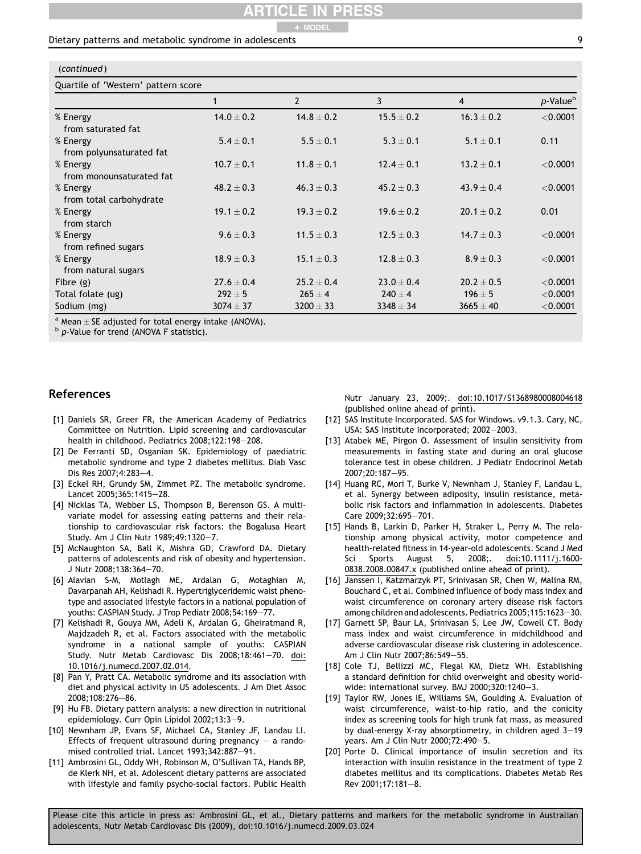### ARTICLE IN PRESS + MODEL

### <span id="page-10-0"></span>Dietary patterns and metabolic syndrome in adolescents

| ×            |
|--------------|
| I<br>I<br>۰. |
|              |

| (continued)                         |                |                |                |                |                      |  |  |
|-------------------------------------|----------------|----------------|----------------|----------------|----------------------|--|--|
| Quartile of 'Western' pattern score |                |                |                |                |                      |  |  |
|                                     |                | $\overline{2}$ | 3              | 4              | p-Value <sup>b</sup> |  |  |
| % Energy                            | $14.0 \pm 0.2$ | $14.8 \pm 0.2$ | $15.5 \pm 0.2$ | $16.3 \pm 0.2$ | $<$ 0.0001           |  |  |
| from saturated fat                  |                |                |                |                |                      |  |  |
| % Energy                            | $5.4 \pm 0.1$  | $5.5 + 0.1$    | $5.3 + 0.1$    | $5.1 \pm 0.1$  | 0.11                 |  |  |
| from polyunsaturated fat            |                |                |                |                |                      |  |  |
| % Energy                            | $10.7 \pm 0.1$ | $11.8 \pm 0.1$ | $12.4 \pm 0.1$ | $13.2 \pm 0.1$ | $<$ 0.0001           |  |  |
| from monounsaturated fat            |                |                |                |                |                      |  |  |
| % Energy                            | $48.2 + 0.3$   | $46.3 + 0.3$   | $45.2 + 0.3$   | $43.9 + 0.4$   | < 0.0001             |  |  |
| from total carbohydrate             |                |                |                |                |                      |  |  |
| % Energy                            | $19.1 \pm 0.2$ | $19.3 + 0.2$   | $19.6 \pm 0.2$ | $20.1 + 0.2$   | 0.01                 |  |  |
| from starch                         |                |                |                |                |                      |  |  |
| % Energy                            | $9.6 \pm 0.3$  | $11.5 \pm 0.3$ | $12.5 + 0.3$   | $14.7 + 0.3$   | < 0.0001             |  |  |
| from refined sugars                 |                |                |                |                |                      |  |  |
| % Energy                            | $18.9 \pm 0.3$ | $15.1 \pm 0.3$ | $12.8 \pm 0.3$ | $8.9 \pm 0.3$  | < 0.0001             |  |  |
| from natural sugars                 |                |                |                |                |                      |  |  |
| Fibre $(g)$                         | $27.6 \pm 0.4$ | $25.2 + 0.4$   | $23.0 + 0.4$   | $20.2 + 0.5$   | $<$ 0.0001           |  |  |
| Total folate (ug)                   | $292 \pm 5$    | $265 + 4$      | $240 + 4$      | $196 \pm 5$    | < 0.0001             |  |  |
| Sodium (mg)                         | $3074 \pm 37$  | $3200 \pm 33$  | $3348 \pm 34$  | $3665 \pm 40$  | $<$ 0.0001           |  |  |

<sup>a</sup> Mean  $\pm$  SE adjusted for total energy intake (ANOVA).<br><sup>b</sup> p-Value for trend (ANOVA F statistic).

### References

- [1] Daniels SR, Greer FR, the American Academy of Pediatrics Committee on Nutrition. Lipid screening and cardiovascular health in childhood. Pediatrics 2008;122:198-208.
- [2] De Ferranti SD, Osganian SK. Epidemiology of paediatric metabolic syndrome and type 2 diabetes mellitus. Diab Vasc Dis Res 2007;4:283-4.
- [3] Eckel RH, Grundy SM, Zimmet PZ. The metabolic syndrome. Lancet 2005;365:1415-28.
- [4] Nicklas TA, Webber LS, Thompson B, Berenson GS. A multivariate model for assessing eating patterns and their relationship to cardiovascular risk factors: the Bogalusa Heart Study. Am J Clin Nutr 1989;49:1320-7.
- [5] McNaughton SA, Ball K, Mishra GD, Crawford DA. Dietary patterns of adolescents and risk of obesity and hypertension. J Nutr 2008;138:364-70.
- [6] Alavian S-M, Motlagh ME, Ardalan G, Motaghian M, Davarpanah AH, Kelishadi R. Hypertriglyceridemic waist phenotype and associated lifestyle factors in a national population of youths: CASPIAN Study. J Trop Pediatr 2008;54:169-77.
- [7] Kelishadi R, Gouya MM, Adeli K, Ardalan G, Gheiratmand R, Majdzadeh R, et al. Factors associated with the metabolic syndrome in a national sample of youths: CASPIAN Study. Nutr Metab Cardiovasc Dis 2008;18:461-70. doi: 10.1016/j.numecd.2007.02.014.
- [8] Pan Y, Pratt CA. Metabolic syndrome and its association with diet and physical activity in US adolescents. J Am Diet Assoc 2008;108:276-86.
- [9] Hu FB. Dietary pattern analysis: a new direction in nutritional epidemiology. Curr Opin Lipidol 2002;13:3-9.
- [10] Newnham JP, Evans SF, Michael CA, Stanley JF, Landau LI. Effects of frequent ultrasound during pregnancy  $-$  a randomised controlled trial. Lancet 1993;342:887-91.
- [11] Ambrosini GL, Oddy WH, Robinson M, O'Sullivan TA, Hands BP, de Klerk NH, et al. Adolescent dietary patterns are associated with lifestyle and family psycho-social factors. Public Health

Nutr January 23, 2009;. doi:10.1017/S1368980008004618 (published online ahead of print).

- [12] SAS Institute Incorporated. SAS for Windows. v9.1.3. Cary, NC, USA: SAS Institute Incorporated; 2002-2003.
- [13] Atabek ME, Pirgon O. Assessment of insulin sensitivity from measurements in fasting state and during an oral glucose tolerance test in obese children. J Pediatr Endocrinol Metab 2007;20:187-95.
- [14] Huang RC, Mori T, Burke V, Newnham J, Stanley F, Landau L, et al. Synergy between adiposity, insulin resistance, metabolic risk factors and inflammation in adolescents. Diabetes Care 2009;32:695-701.
- [15] Hands B, Larkin D, Parker H, Straker L, Perry M. The relationship among physical activity, motor competence and health-related fitness in 14-year-old adolescents. Scand J Med Sci Sports August 5, 2008;. doi:10.1111/j.1600- 0838.2008.00847.x (published online ahead of print).
- [16] Janssen I, Katzmarzyk PT, Srinivasan SR, Chen W, Malina RM, Bouchard C, et al. Combined influence of body mass index and waist circumference on coronary artery disease risk factors among children and adolescents. Pediatrics 2005;115:1623-30.
- [17] Garnett SP, Baur LA, Srinivasan S, Lee JW, Cowell CT. Body mass index and waist circumference in midchildhood and adverse cardiovascular disease risk clustering in adolescence. Am J Clin Nutr 2007;86:549-55.
- [18] Cole TJ, Bellizzi MC, Flegal KM, Dietz WH. Establishing a standard definition for child overweight and obesity worldwide: international survey. BMJ 2000;320:1240 $-3$ .
- [19] Taylor RW, Jones IE, Williams SM, Goulding A. Evaluation of waist circumference, waist-to-hip ratio, and the conicity index as screening tools for high trunk fat mass, as measured by dual-energy X-ray absorptiometry, in children aged  $3-19$ years. Am J Clin Nutr 2000;72:490-5.
- [20] Porte D. Clinical importance of insulin secretion and its interaction with insulin resistance in the treatment of type 2 diabetes mellitus and its complications. Diabetes Metab Res Rev 2001;17:181-8.